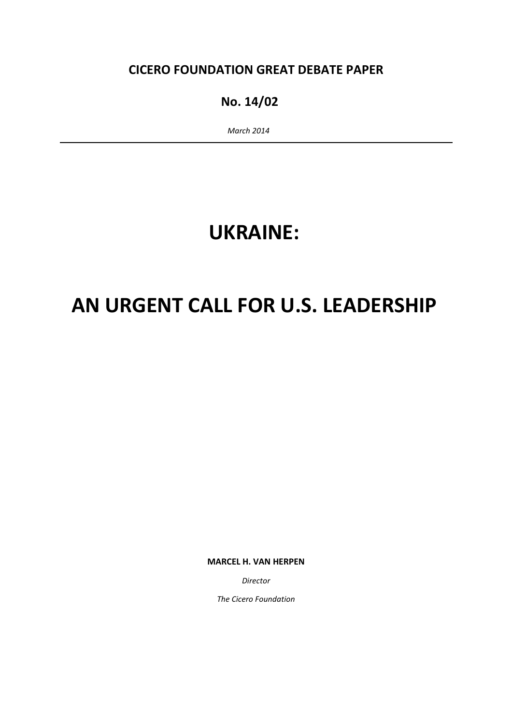### CICERO FOUNDATION GREAT DEBATE PAPER

### No. 14/02

March 2014

## UKRAINE:

# AN URGENT CALL FOR U.S. LEADERSHIP

MARCEL H. VAN HERPEN

Director

The Cicero Foundation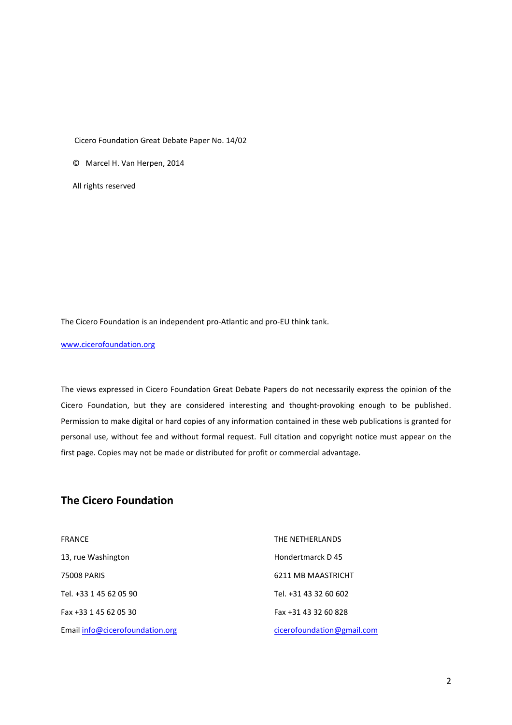Cicero Foundation Great Debate Paper No. 14/02

© Marcel H. Van Herpen, 2014

All rights reserved

The Cicero Foundation is an independent pro-Atlantic and pro-EU think tank.

www.cicerofoundation.org

The views expressed in Cicero Foundation Great Debate Papers do not necessarily express the opinion of the Cicero Foundation, but they are considered interesting and thought-provoking enough to be published. Permission to make digital or hard copies of any information contained in these web publications is granted for personal use, without fee and without formal request. Full citation and copyright notice must appear on the first page. Copies may not be made or distributed for profit or commercial advantage.

#### The Cicero Foundation

| <b>FRANCE</b>                   | THE NETHERLANDS            |
|---------------------------------|----------------------------|
| 13, rue Washington              | Hondertmarck D45           |
| 75008 PARIS                     | 6211 MB MAASTRICHT         |
| Tel. +33 1 45 62 05 90          | Tel. +31 43 32 60 602      |
| Fax +33 1 45 62 05 30           | Fax +31 43 32 60 828       |
| Email info@cicerofoundation.org | cicerofoundation@gmail.com |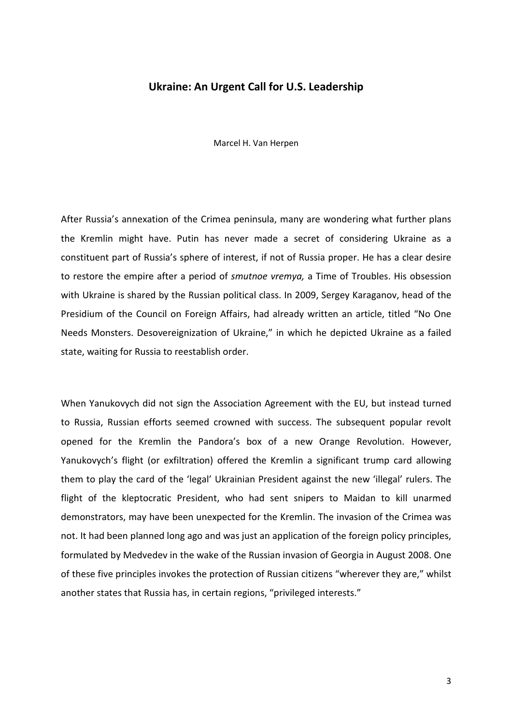#### Ukraine: An Urgent Call for U.S. Leadership

Marcel H. Van Herpen

After Russia's annexation of the Crimea peninsula, many are wondering what further plans the Kremlin might have. Putin has never made a secret of considering Ukraine as a constituent part of Russia's sphere of interest, if not of Russia proper. He has a clear desire to restore the empire after a period of smutnoe vremya, a Time of Troubles. His obsession with Ukraine is shared by the Russian political class. In 2009, Sergey Karaganov, head of the Presidium of the Council on Foreign Affairs, had already written an article, titled "No One Needs Monsters. Desovereignization of Ukraine," in which he depicted Ukraine as a failed state, waiting for Russia to reestablish order.

When Yanukovych did not sign the Association Agreement with the EU, but instead turned to Russia, Russian efforts seemed crowned with success. The subsequent popular revolt opened for the Kremlin the Pandora's box of a new Orange Revolution. However, Yanukovych's flight (or exfiltration) offered the Kremlin a significant trump card allowing them to play the card of the 'legal' Ukrainian President against the new 'illegal' rulers. The flight of the kleptocratic President, who had sent snipers to Maidan to kill unarmed demonstrators, may have been unexpected for the Kremlin. The invasion of the Crimea was not. It had been planned long ago and was just an application of the foreign policy principles, formulated by Medvedev in the wake of the Russian invasion of Georgia in August 2008. One of these five principles invokes the protection of Russian citizens "wherever they are," whilst another states that Russia has, in certain regions, "privileged interests."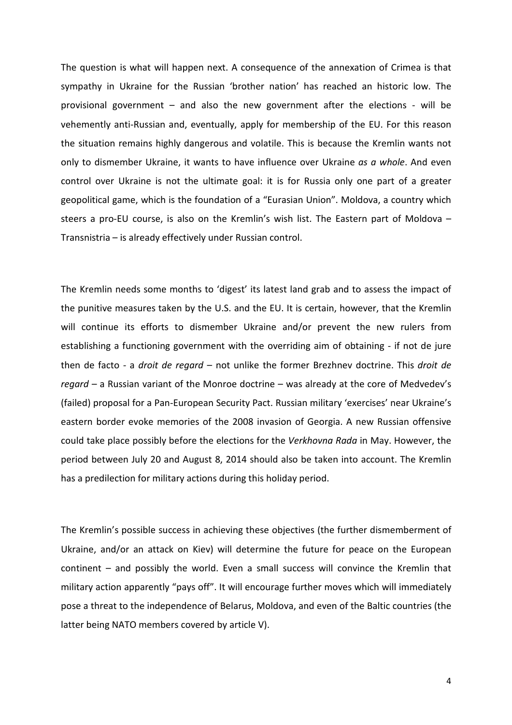The question is what will happen next. A consequence of the annexation of Crimea is that sympathy in Ukraine for the Russian 'brother nation' has reached an historic low. The provisional government – and also the new government after the elections - will be vehemently anti-Russian and, eventually, apply for membership of the EU. For this reason the situation remains highly dangerous and volatile. This is because the Kremlin wants not only to dismember Ukraine, it wants to have influence over Ukraine as a whole. And even control over Ukraine is not the ultimate goal: it is for Russia only one part of a greater geopolitical game, which is the foundation of a "Eurasian Union". Moldova, a country which steers a pro-EU course, is also on the Kremlin's wish list. The Eastern part of Moldova – Transnistria – is already effectively under Russian control.

The Kremlin needs some months to 'digest' its latest land grab and to assess the impact of the punitive measures taken by the U.S. and the EU. It is certain, however, that the Kremlin will continue its efforts to dismember Ukraine and/or prevent the new rulers from establishing a functioning government with the overriding aim of obtaining - if not de jure then de facto - a droit de regard - not unlike the former Brezhnev doctrine. This droit de regard – a Russian variant of the Monroe doctrine – was already at the core of Medvedev's (failed) proposal for a Pan-European Security Pact. Russian military 'exercises' near Ukraine's eastern border evoke memories of the 2008 invasion of Georgia. A new Russian offensive could take place possibly before the elections for the Verkhovna Rada in May. However, the period between July 20 and August 8, 2014 should also be taken into account. The Kremlin has a predilection for military actions during this holiday period.

The Kremlin's possible success in achieving these objectives (the further dismemberment of Ukraine, and/or an attack on Kiev) will determine the future for peace on the European continent – and possibly the world. Even a small success will convince the Kremlin that military action apparently "pays off". It will encourage further moves which will immediately pose a threat to the independence of Belarus, Moldova, and even of the Baltic countries (the latter being NATO members covered by article V).